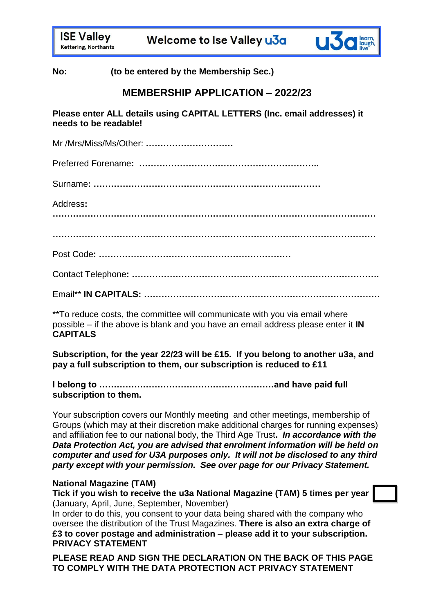Welcome to Ise Valley u3a



**No: (to be entered by the Membership Sec.)**

# **MEMBERSHIP APPLICATION – 2022/23**

**Please enter ALL details using CAPITAL LETTERS (Inc. email addresses) it needs to be readable!** 

Mr /Mrs/Miss/Ms/Other: **…………………………**

Preferred Forename**: ……………………………………………………..**

Surname**: ……………………………………………………………………**

Address**:** 

**…………………………………………………………………………………………………**

**…………………………………………………………………………………………………**

Post Code**: …………………………………………………………**

Contact Telephone**: ………………………………………………………………………….**

Email\*\* **IN CAPITALS: ………………………………………………………………………**

\*\*To reduce costs, the committee will communicate with you via email where possible – if the above is blank and you have an email address please enter it **IN CAPITALS**

**Subscription, for the year 22/23 will be £15. If you belong to another u3a, and pay a full subscription to them, our subscription is reduced to £11**

### **I belong to ……………………………………………………and have paid full subscription to them.**

Your subscription covers our Monthly meeting and other meetings, membership of Groups (which may at their discretion make additional charges for running expenses) and affiliation fee to our national body, the Third Age Trust**.** *In accordance with the Data Protection Act, you are advised that enrolment information will be held on computer and used for U3A purposes only. It will not be disclosed to any third party except with your permission. See over page for our Privacy Statement.*

## **National Magazine (TAM)**

**Tick if you wish to receive the u3a National Magazine (TAM) 5 times per year**  (January, April, June, September, November)

In order to do this, you consent to your data being shared with the company who oversee the distribution of the Trust Magazines. **There is also an extra charge of £3 to cover postage and administration – please add it to your subscription. PRIVACY STATEMENT**

**PLEASE READ AND SIGN THE DECLARATION ON THE BACK OF THIS PAGE TO COMPLY WITH THE DATA PROTECTION ACT PRIVACY STATEMENT**